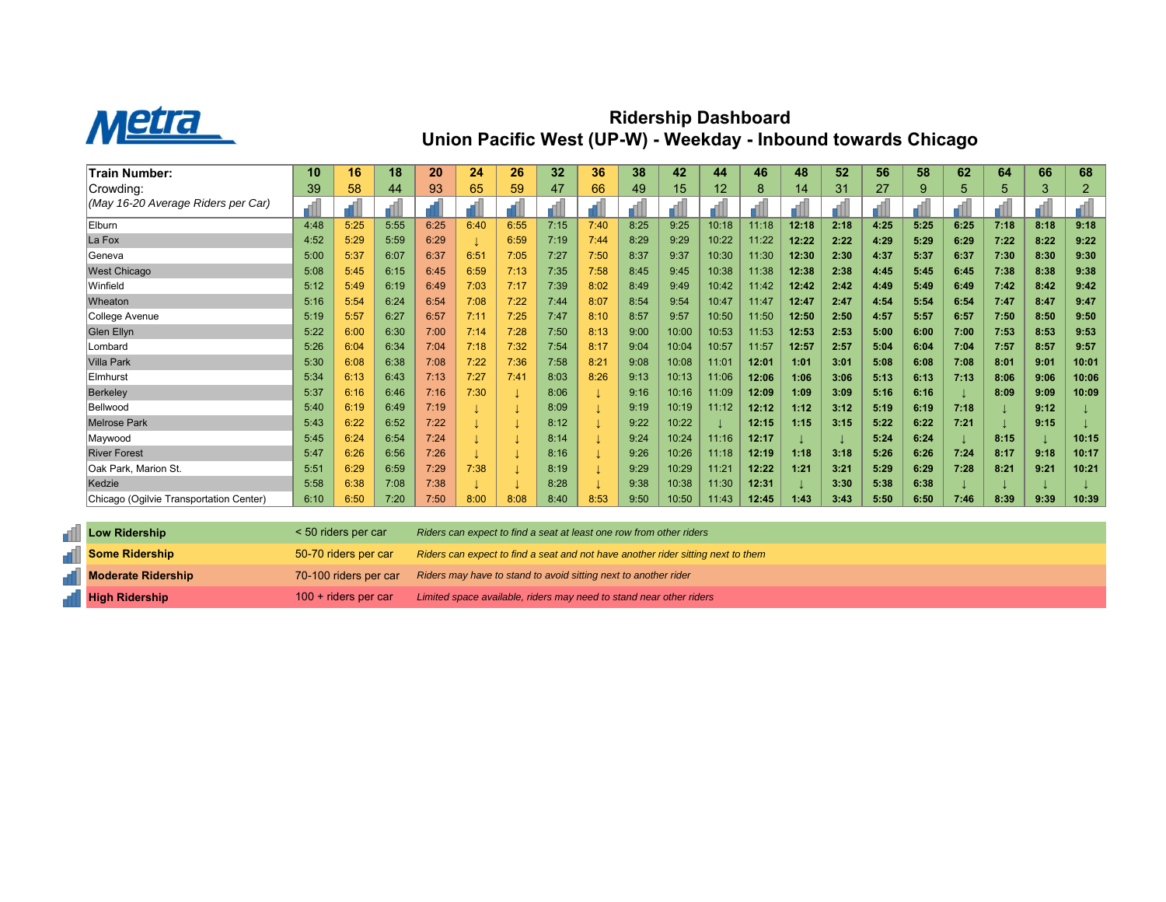

## **Ridership Dashboard Union Pacific West (UP-W) - Weekday - Inbound towards Chicago**

| <b>Train Number:</b>                    | 10   | 16   | 18   | 20   | 24   | 26   | 32   | 36   | 38   | 42    | 44    | 46    | 48    | 52   | 56   | 58   | 62   | 64   | 66   | 68    |
|-----------------------------------------|------|------|------|------|------|------|------|------|------|-------|-------|-------|-------|------|------|------|------|------|------|-------|
| Crowding:                               | 39   | 58   | 44   | 93   | 65   | 59   | 47   | 66   | 49   | 15    | 12    | 8     | 14    | 31   | 27   | 9    | 5    | 5    | 3    | 2     |
| (May 16-20 Average Riders per Car)      |      |      |      |      |      |      |      |      |      |       |       |       |       |      |      |      |      |      |      |       |
| Elburn                                  | 4:48 | 5:25 | 5:55 | 6:25 | 6:40 | 6:55 | 7:15 | 7:40 | 8:25 | 9:25  | 10:18 | 11:18 | 12:18 | 2:18 | 4:25 | 5:25 | 6:25 | 7:18 | 8:18 | 9:18  |
| La Fox                                  | 4:52 | 5:29 | 5:59 | 6:29 |      | 6:59 | 7:19 | 7:44 | 8:29 | 9:29  | 10:22 | 11:22 | 12:22 | 2:22 | 4:29 | 5:29 | 6:29 | 7:22 | 8:22 | 9:22  |
| Geneva                                  | 5:00 | 5:37 | 6:07 | 6:37 | 6:51 | 7:05 | 7:27 | 7:50 | 8:37 | 9:37  | 10:30 | 11:30 | 12:30 | 2:30 | 4:37 | 5:37 | 6:37 | 7:30 | 8:30 | 9:30  |
| <b>West Chicago</b>                     | 5:08 | 5:45 | 6:15 | 6:45 | 6:59 | 7:13 | 7:35 | 7:58 | 8:45 | 9:45  | 10:38 | 11:38 | 12:38 | 2:38 | 4:45 | 5:45 | 6:45 | 7:38 | 8:38 | 9:38  |
| Winfield                                | 5:12 | 5:49 | 6:19 | 6:49 | 7:03 | 7:17 | 7:39 | 8:02 | 8:49 | 9:49  | 10:42 | 11:42 | 12:42 | 2:42 | 4:49 | 5:49 | 6:49 | 7:42 | 8:42 | 9:42  |
| Wheaton                                 | 5:16 | 5:54 | 6:24 | 6:54 | 7:08 | 7:22 | 7:44 | 8:07 | 8:54 | 9:54  | 10:47 | 11:47 | 12:47 | 2:47 | 4:54 | 5:54 | 6:54 | 7:47 | 8:47 | 9:47  |
| College Avenue                          | 5:19 | 5:57 | 6:27 | 6:57 | 7:11 | 7:25 | 7:47 | 8:10 | 8:57 | 9:57  | 10:50 | 11:50 | 12:50 | 2:50 | 4:57 | 5:57 | 6:57 | 7:50 | 8:50 | 9:50  |
| Glen Ellyn                              | 5:22 | 6:00 | 6:30 | 7:00 | 7:14 | 7:28 | 7:50 | 8:13 | 9:00 | 10:00 | 10:53 | 11:53 | 12:53 | 2:53 | 5:00 | 6:00 | 7:00 | 7:53 | 8:53 | 9:53  |
| Lombard                                 | 5:26 | 6:04 | 6:34 | 7:04 | 7:18 | 7:32 | 7:54 | 8:17 | 9:04 | 10:04 | 10:57 | 11:57 | 12:57 | 2:57 | 5:04 | 6:04 | 7:04 | 7:57 | 8:57 | 9:57  |
| <b>Villa Park</b>                       | 5:30 | 6:08 | 6:38 | 7:08 | 7:22 | 7:36 | 7:58 | 8:21 | 9:08 | 10:08 | 11:01 | 12:01 | 1:01  | 3:01 | 5:08 | 6:08 | 7:08 | 8:01 | 9:01 | 10:01 |
| Elmhurst                                | 5:34 | 6:13 | 6:43 | 7:13 | 7:27 | 7:41 | 8:03 | 8:26 | 9:13 | 10:13 | 11:06 | 12:06 | 1:06  | 3:06 | 5:13 | 6:13 | 7:13 | 8:06 | 9:06 | 10:06 |
| <b>Berkeley</b>                         | 5:37 | 6:16 | 6:46 | 7:16 | 7:30 |      | 8:06 |      | 9:16 | 10:16 | 11:09 | 12:09 | 1:09  | 3:09 | 5:16 | 6:16 |      | 8:09 | 9:09 | 10:09 |
| Bellwood                                | 5:40 | 6:19 | 6:49 | 7:19 |      |      | 8:09 |      | 9:19 | 10:19 | 11:12 | 12:12 | 1:12  | 3:12 | 5:19 | 6:19 | 7:18 |      | 9:12 |       |
| <b>Melrose Park</b>                     | 5:43 | 6:22 | 6:52 | 7:22 |      |      | 8:12 |      | 9:22 | 10:22 |       | 12:15 | 1:15  | 3:15 | 5:22 | 6:22 | 7:21 |      | 9:15 |       |
| Maywood                                 | 5:45 | 6:24 | 6:54 | 7:24 |      |      | 8:14 |      | 9:24 | 10:24 | 11:16 | 12:17 |       |      | 5:24 | 6:24 |      | 8:15 |      | 10:15 |
| <b>River Forest</b>                     | 5:47 | 6:26 | 6:56 | 7:26 |      |      | 8:16 |      | 9:26 | 10:26 | 11:18 | 12:19 | 1:18  | 3:18 | 5:26 | 6:26 | 7:24 | 8:17 | 9:18 | 10:17 |
| Oak Park, Marion St.                    | 5:51 | 6:29 | 6:59 | 7:29 | 7:38 |      | 8:19 |      | 9:29 | 10:29 | 11:21 | 12:22 | 1:21  | 3:21 | 5:29 | 6:29 | 7:28 | 8:21 | 9:21 | 10:21 |
| Kedzie                                  | 5:58 | 6:38 | 7:08 | 7:38 |      |      | 8:28 |      | 9:38 | 10:38 | 11:30 | 12:31 |       | 3:30 | 5:38 | 6:38 |      |      |      |       |
| Chicago (Ogilvie Transportation Center) | 6:10 | 6:50 | 7:20 | 7:50 | 8:00 | 8:08 | 8:40 | 8:53 | 9:50 | 10:50 | 11:43 | 12:45 | 1:43  | 3:43 | 5:50 | 6:50 | 7:46 | 8:39 | 9:39 | 10:39 |

| Low Ridership             | < 50 riders per car    | Riders can expect to find a seat at least one row from other riders                   |
|---------------------------|------------------------|---------------------------------------------------------------------------------------|
| <b>Some Ridership</b>     | 50-70 riders per car   | Riders can expect to find a seat and not have another rider sitting next to them      |
| <b>Noderate Ridership</b> |                        | 70-100 riders per car Riders may have to stand to avoid sitting next to another rider |
| <b>High Ridership</b>     | $100 +$ riders per car | Limited space available, riders may need to stand near other riders                   |